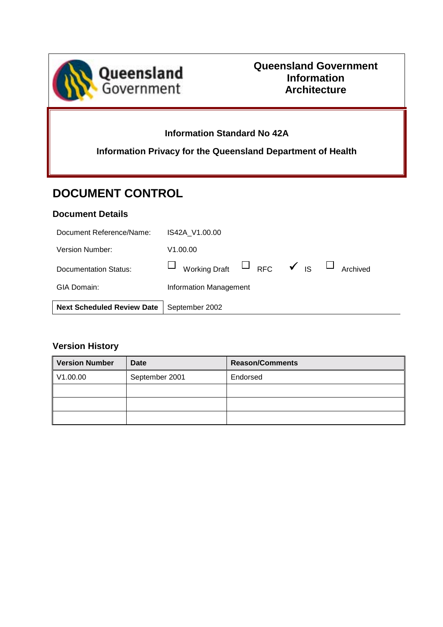

# **Information Standard No 42A**

**Information Privacy for the Queensland Department of Health** 

# **DOCUMENT CONTROL**

### **Document Details**

| Document Reference/Name:          | IS42A V1.00.00                                              |
|-----------------------------------|-------------------------------------------------------------|
| Version Number:                   | V1.00.00                                                    |
| Documentation Status:             | Working Draft $\Box$ RFC $\checkmark$ IS $\Box$<br>Archived |
| GIA Domain:                       | <b>Information Management</b>                               |
| <b>Next Scheduled Review Date</b> | September 2002                                              |

## **Version History**

| <b>Version Number</b> | Date           | <b>Reason/Comments</b> |
|-----------------------|----------------|------------------------|
| V1.00.00              | September 2001 | Endorsed               |
|                       |                |                        |
|                       |                |                        |
|                       |                |                        |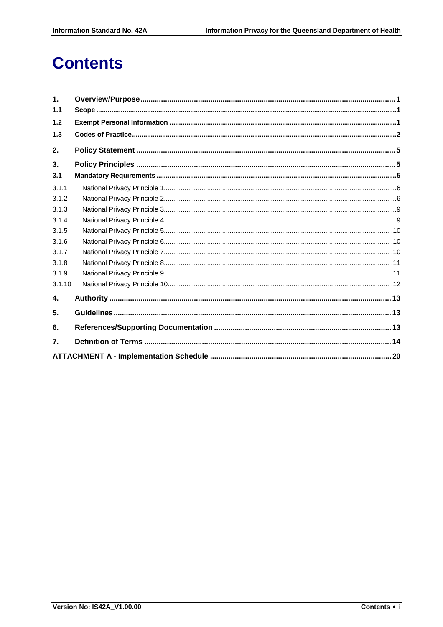# **Contents**

| $\mathbf 1$ . |  |
|---------------|--|
| 1.1           |  |
| 1.2           |  |
| 1.3           |  |
| 2.            |  |
| 3.            |  |
| 3.1           |  |
| 3.1.1         |  |
| 3.1.2         |  |
| 3.1.3         |  |
| 3.1.4         |  |
| 3.1.5         |  |
| 3.1.6         |  |
| 3.1.7         |  |
| 3.1.8         |  |
| 3.1.9         |  |
| 3.1.10        |  |
| 4.            |  |
| 5.            |  |
| 6.            |  |
| 7.            |  |
|               |  |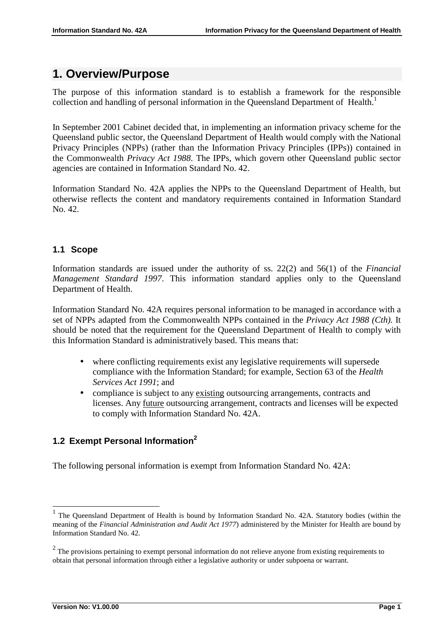# **1. Overview/Purpose**

The purpose of this information standard is to establish a framework for the responsible collection and handling of personal information in the Queensland Department of Health.<sup>1</sup>

In September 2001 Cabinet decided that, in implementing an information privacy scheme for the Queensland public sector, the Queensland Department of Health would comply with the National Privacy Principles (NPPs) (rather than the Information Privacy Principles (IPPs)) contained in the Commonwealth *Privacy Act 1988*. The IPPs, which govern other Queensland public sector agencies are contained in Information Standard No. 42.

Information Standard No. 42A applies the NPPs to the Queensland Department of Health, but otherwise reflects the content and mandatory requirements contained in Information Standard No. 42.

# **1.1 Scope**

Information standards are issued under the authority of ss. 22(2) and 56(1) of the *Financial Management Standard 1997*. This information standard applies only to the Queensland Department of Health.

Information Standard No. 42A requires personal information to be managed in accordance with a set of NPPs adapted from the Commonwealth NPPs contained in the *Privacy Act 1988 (Cth).* It should be noted that the requirement for the Queensland Department of Health to comply with this Information Standard is administratively based. This means that:

- where conflicting requirements exist any legislative requirements will supersede compliance with the Information Standard; for example, Section 63 of the *Health Services Act 1991*; and
- compliance is subject to any existing outsourcing arrangements, contracts and licenses. Any future outsourcing arrangement, contracts and licenses will be expected to comply with Information Standard No. 42A.

# **1.2 Exempt Personal Information2**

The following personal information is exempt from Information Standard No. 42A:

 $\overline{a}$ 

<sup>&</sup>lt;sup>1</sup> The Queensland Department of Health is bound by Information Standard No. 42A. Statutory bodies (within the meaning of the *Financial Administration and Audit Act 1977*) administered by the Minister for Health are bound by Information Standard No. 42.

 $2<sup>2</sup>$  The provisions pertaining to exempt personal information do not relieve anyone from existing requirements to obtain that personal information through either a legislative authority or under subpoena or warrant.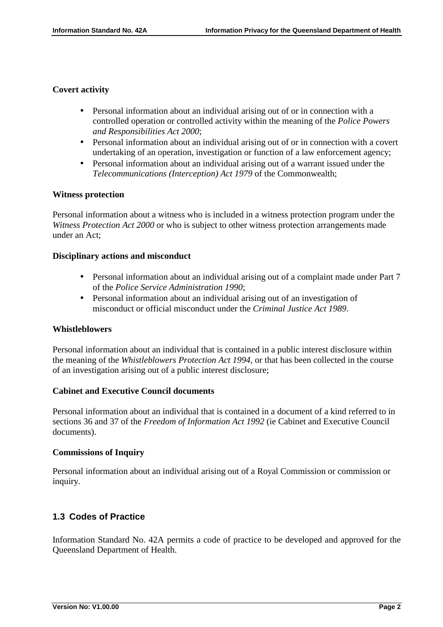### **Covert activity**

- Personal information about an individual arising out of or in connection with a controlled operation or controlled activity within the meaning of the *Police Powers and Responsibilities Act 2000*;
- Personal information about an individual arising out of or in connection with a covert undertaking of an operation, investigation or function of a law enforcement agency;
- Personal information about an individual arising out of a warrant issued under the *Telecommunications (Interception) Act 1979* of the Commonwealth;

#### **Witness protection**

Personal information about a witness who is included in a witness protection program under the *Witness Protection Act 2000* or who is subject to other witness protection arrangements made under an Act;

#### **Disciplinary actions and misconduct**

- Personal information about an individual arising out of a complaint made under Part 7 of the *Police Service Administration 1990*;
- Personal information about an individual arising out of an investigation of misconduct or official misconduct under the *Criminal Justice Act 1989*.

#### **Whistleblowers**

Personal information about an individual that is contained in a public interest disclosure within the meaning of the *Whistleblowers Protection Act 1994*, or that has been collected in the course of an investigation arising out of a public interest disclosure;

#### **Cabinet and Executive Council documents**

Personal information about an individual that is contained in a document of a kind referred to in sections 36 and 37 of the *Freedom of Information Act 1992* (ie Cabinet and Executive Council documents).

#### **Commissions of Inquiry**

Personal information about an individual arising out of a Royal Commission or commission or inquiry.

### **1.3 Codes of Practice**

Information Standard No. 42A permits a code of practice to be developed and approved for the Queensland Department of Health.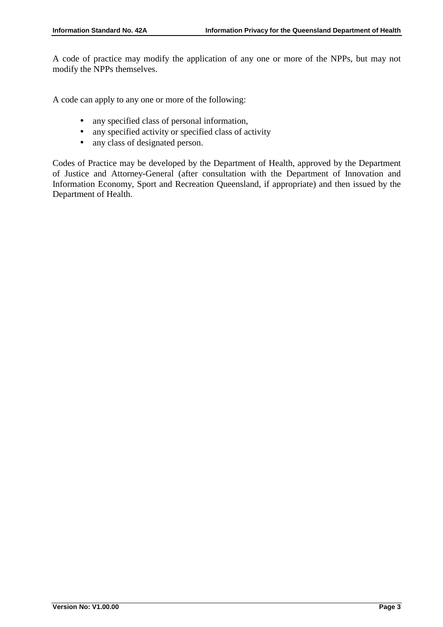A code of practice may modify the application of any one or more of the NPPs, but may not modify the NPPs themselves.

A code can apply to any one or more of the following:

- any specified class of personal information,
- any specified activity or specified class of activity
- any class of designated person.

Codes of Practice may be developed by the Department of Health, approved by the Department of Justice and Attorney-General (after consultation with the Department of Innovation and Information Economy, Sport and Recreation Queensland, if appropriate) and then issued by the Department of Health.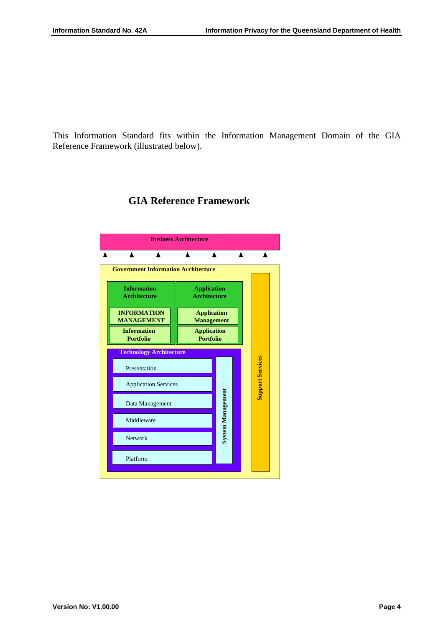This Information Standard fits within the Information Management Domain of the GIA Reference Framework (illustrated below).



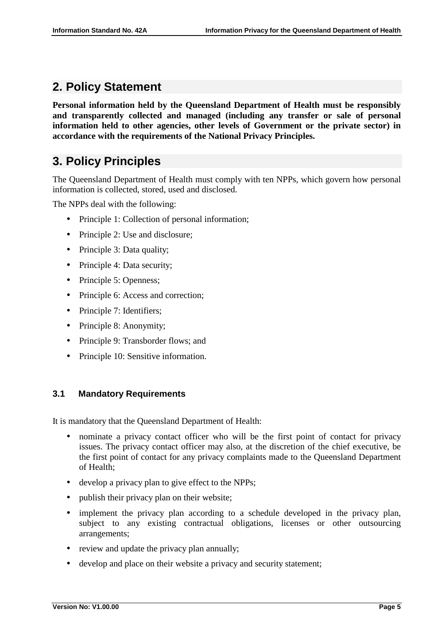# **2. Policy Statement**

**Personal information held by the Queensland Department of Health must be responsibly and transparently collected and managed (including any transfer or sale of personal information held to other agencies, other levels of Government or the private sector) in accordance with the requirements of the National Privacy Principles.** 

# **3. Policy Principles**

The Queensland Department of Health must comply with ten NPPs, which govern how personal information is collected, stored, used and disclosed.

The NPPs deal with the following:

- Principle 1: Collection of personal information;
- Principle 2: Use and disclosure:
- Principle 3: Data quality;
- Principle 4: Data security;
- Principle 5: Openness;
- Principle 6: Access and correction;
- Principle 7: Identifiers;
- Principle 8: Anonymity;
- Principle 9: Transborder flows; and
- Principle 10: Sensitive information.

### **3.1 Mandatory Requirements**

It is mandatory that the Queensland Department of Health:

- nominate a privacy contact officer who will be the first point of contact for privacy issues. The privacy contact officer may also, at the discretion of the chief executive, be the first point of contact for any privacy complaints made to the Queensland Department of Health;
- develop a privacy plan to give effect to the NPPs;
- publish their privacy plan on their website;
- implement the privacy plan according to a schedule developed in the privacy plan, subject to any existing contractual obligations, licenses or other outsourcing arrangements;
- review and update the privacy plan annually;
- develop and place on their website a privacy and security statement;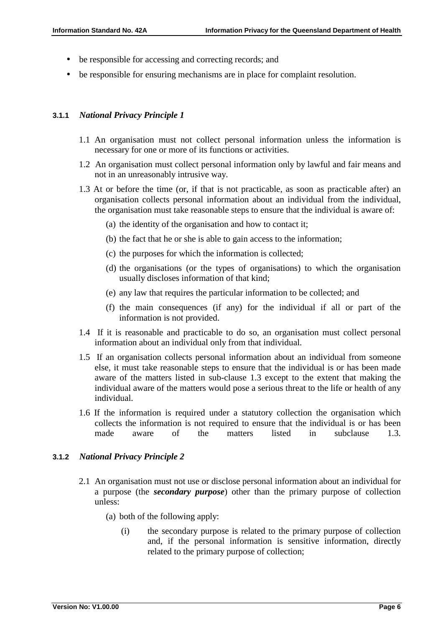- be responsible for accessing and correcting records; and
- be responsible for ensuring mechanisms are in place for complaint resolution.

#### **3.1.1** *National Privacy Principle 1*

- 1.1 An organisation must not collect personal information unless the information is necessary for one or more of its functions or activities.
- 1.2 An organisation must collect personal information only by lawful and fair means and not in an unreasonably intrusive way.
- 1.3 At or before the time (or, if that is not practicable, as soon as practicable after) an organisation collects personal information about an individual from the individual, the organisation must take reasonable steps to ensure that the individual is aware of:
	- (a) the identity of the organisation and how to contact it;
	- (b) the fact that he or she is able to gain access to the information;
	- (c) the purposes for which the information is collected;
	- (d) the organisations (or the types of organisations) to which the organisation usually discloses information of that kind;
	- (e) any law that requires the particular information to be collected; and
	- (f) the main consequences (if any) for the individual if all or part of the information is not provided.
- 1.4 If it is reasonable and practicable to do so, an organisation must collect personal information about an individual only from that individual.
- 1.5 If an organisation collects personal information about an individual from someone else, it must take reasonable steps to ensure that the individual is or has been made aware of the matters listed in sub-clause 1.3 except to the extent that making the individual aware of the matters would pose a serious threat to the life or health of any individual.
- 1.6 If the information is required under a statutory collection the organisation which collects the information is not required to ensure that the individual is or has been made aware of the matters listed in subclause 1.3.

### **3.1.2** *National Privacy Principle 2*

- 2.1 An organisation must not use or disclose personal information about an individual for a purpose (the *secondary purpose*) other than the primary purpose of collection unless:
	- (a) both of the following apply:
		- (i) the secondary purpose is related to the primary purpose of collection and, if the personal information is sensitive information, directly related to the primary purpose of collection;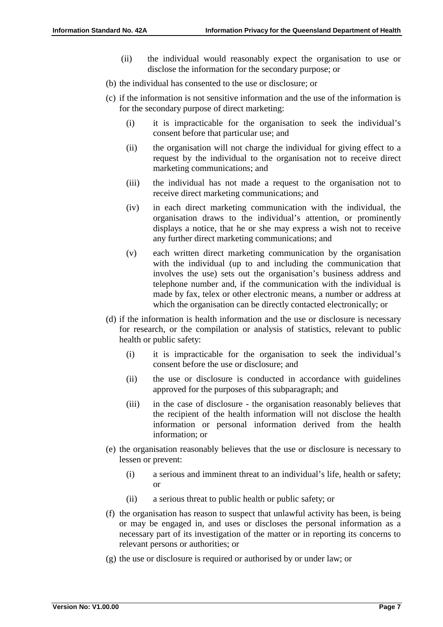- (ii) the individual would reasonably expect the organisation to use or disclose the information for the secondary purpose; or
- (b) the individual has consented to the use or disclosure; or
- (c) if the information is not sensitive information and the use of the information is for the secondary purpose of direct marketing:
	- (i) it is impracticable for the organisation to seek the individual's consent before that particular use; and
	- (ii) the organisation will not charge the individual for giving effect to a request by the individual to the organisation not to receive direct marketing communications; and
	- (iii) the individual has not made a request to the organisation not to receive direct marketing communications; and
	- (iv) in each direct marketing communication with the individual, the organisation draws to the individual's attention, or prominently displays a notice, that he or she may express a wish not to receive any further direct marketing communications; and
	- (v) each written direct marketing communication by the organisation with the individual (up to and including the communication that involves the use) sets out the organisation's business address and telephone number and, if the communication with the individual is made by fax, telex or other electronic means, a number or address at which the organisation can be directly contacted electronically; or
- (d) if the information is health information and the use or disclosure is necessary for research, or the compilation or analysis of statistics, relevant to public health or public safety:
	- (i) it is impracticable for the organisation to seek the individual's consent before the use or disclosure; and
	- (ii) the use or disclosure is conducted in accordance with guidelines approved for the purposes of this subparagraph; and
	- (iii) in the case of disclosure the organisation reasonably believes that the recipient of the health information will not disclose the health information or personal information derived from the health information; or
- (e) the organisation reasonably believes that the use or disclosure is necessary to lessen or prevent:
	- (i) a serious and imminent threat to an individual's life, health or safety; or
	- (ii) a serious threat to public health or public safety; or
- (f) the organisation has reason to suspect that unlawful activity has been, is being or may be engaged in, and uses or discloses the personal information as a necessary part of its investigation of the matter or in reporting its concerns to relevant persons or authorities; or
- (g) the use or disclosure is required or authorised by or under law; or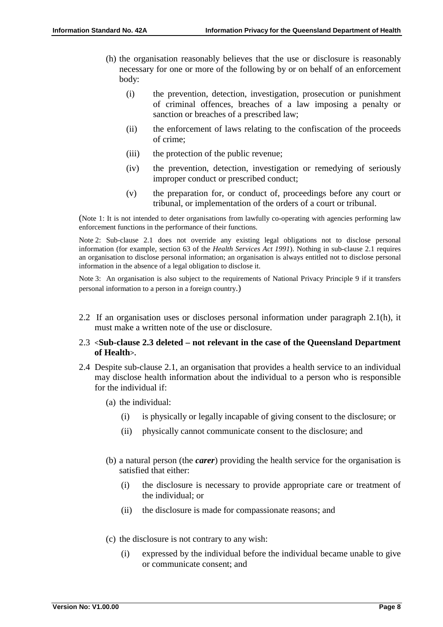- (h) the organisation reasonably believes that the use or disclosure is reasonably necessary for one or more of the following by or on behalf of an enforcement body:
	- (i) the prevention, detection, investigation, prosecution or punishment of criminal offences, breaches of a law imposing a penalty or sanction or breaches of a prescribed law;
	- (ii) the enforcement of laws relating to the confiscation of the proceeds of crime;
	- (iii) the protection of the public revenue;
	- (iv) the prevention, detection, investigation or remedying of seriously improper conduct or prescribed conduct;
	- (v) the preparation for, or conduct of, proceedings before any court or tribunal, or implementation of the orders of a court or tribunal.

(Note 1: It is not intended to deter organisations from lawfully co-operating with agencies performing law enforcement functions in the performance of their functions.

Note 2: Sub-clause 2.1 does not override any existing legal obligations not to disclose personal information (for example, section 63 of the *Health Services Act 1991*). Nothing in sub-clause 2.1 requires an organisation to disclose personal information; an organisation is always entitled not to disclose personal information in the absence of a legal obligation to disclose it.

Note 3: An organisation is also subject to the requirements of National Privacy Principle 9 if it transfers personal information to a person in a foreign country.)

- 2.2 If an organisation uses or discloses personal information under paragraph 2.1(h), it must make a written note of the use or disclosure.
- 2.3 **<Sub-clause 2.3 deleted not relevant in the case of the Queensland Department of Health>.**
- 2.4 Despite sub-clause 2.1, an organisation that provides a health service to an individual may disclose health information about the individual to a person who is responsible for the individual if:
	- (a) the individual:
		- (i) is physically or legally incapable of giving consent to the disclosure; or
		- (ii) physically cannot communicate consent to the disclosure; and
	- (b) a natural person (the *carer*) providing the health service for the organisation is satisfied that either:
		- (i) the disclosure is necessary to provide appropriate care or treatment of the individual; or
		- (ii) the disclosure is made for compassionate reasons; and
	- (c) the disclosure is not contrary to any wish:
		- (i) expressed by the individual before the individual became unable to give or communicate consent; and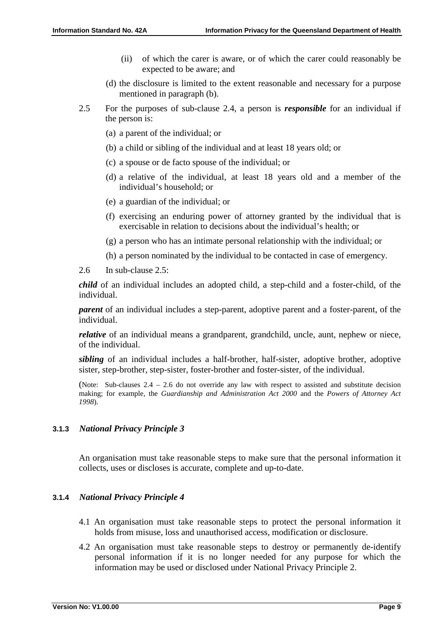- (ii) of which the carer is aware, or of which the carer could reasonably be expected to be aware; and
- (d) the disclosure is limited to the extent reasonable and necessary for a purpose mentioned in paragraph (b).
- 2.5 For the purposes of sub-clause 2.4, a person is *responsible* for an individual if the person is:
	- (a) a parent of the individual; or
	- (b) a child or sibling of the individual and at least 18 years old; or
	- (c) a spouse or de facto spouse of the individual; or
	- (d) a relative of the individual, at least 18 years old and a member of the individual's household; or
	- (e) a guardian of the individual; or
	- (f) exercising an enduring power of attorney granted by the individual that is exercisable in relation to decisions about the individual's health; or
	- (g) a person who has an intimate personal relationship with the individual; or
	- (h) a person nominated by the individual to be contacted in case of emergency.
- 2.6 In sub-clause 2.5:

*child* of an individual includes an adopted child, a step-child and a foster-child, of the individual.

*parent* of an individual includes a step-parent, adoptive parent and a foster-parent, of the individual.

*relative* of an individual means a grandparent, grandchild, uncle, aunt, nephew or niece, of the individual.

*sibling* of an individual includes a half-brother, half-sister, adoptive brother, adoptive sister, step-brother, step-sister, foster-brother and foster-sister, of the individual.

(Note: Sub-clauses  $2.4 - 2.6$  do not override any law with respect to assisted and substitute decision making; for example, the *Guardianship and Administration Act 2000* and the *Powers of Attorney Act 1998*).

### **3.1.3** *National Privacy Principle 3*

An organisation must take reasonable steps to make sure that the personal information it collects, uses or discloses is accurate, complete and up-to-date.

### **3.1.4** *National Privacy Principle 4*

- 4.1 An organisation must take reasonable steps to protect the personal information it holds from misuse, loss and unauthorised access, modification or disclosure.
- 4.2 An organisation must take reasonable steps to destroy or permanently de-identify personal information if it is no longer needed for any purpose for which the information may be used or disclosed under National Privacy Principle 2.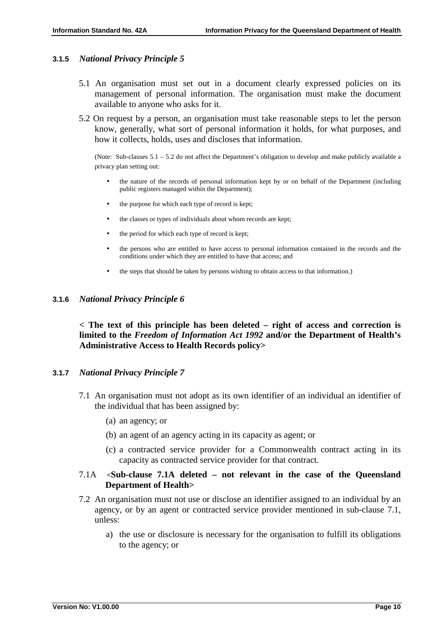#### **3.1.5** *National Privacy Principle 5*

- 5.1 An organisation must set out in a document clearly expressed policies on its management of personal information. The organisation must make the document available to anyone who asks for it.
- 5.2 On request by a person, an organisation must take reasonable steps to let the person know, generally, what sort of personal information it holds, for what purposes, and how it collects, holds, uses and discloses that information.

(Note: Sub-clauses 5.1 – 5.2 do not affect the Department's obligation to develop and make publicly available a privacy plan setting out:

- the nature of the records of personal information kept by or on behalf of the Department (including public registers managed within the Department);
- the purpose for which each type of record is kept;
- the classes or types of individuals about whom records are kept;
- the period for which each type of record is kept;
- the persons who are entitled to have access to personal information contained in the records and the conditions under which they are entitled to have that access; and
- the steps that should be taken by persons wishing to obtain access to that information.)

#### **3.1.6** *National Privacy Principle 6*

**< The text of this principle has been deleted – right of access and correction is limited to the** *Freedom of Information Act 1992* **and/or the Department of Health's Administrative Access to Health Records policy>** 

#### **3.1.7** *National Privacy Principle 7*

- 7.1 An organisation must not adopt as its own identifier of an individual an identifier of the individual that has been assigned by:
	- (a) an agency; or
	- (b) an agent of an agency acting in its capacity as agent; or
	- (c) a contracted service provider for a Commonwealth contract acting in its capacity as contracted service provider for that contract.

#### 7.1A **<Sub-clause 7.1A deleted – not relevant in the case of the Queensland Department of Health>**

- 7.2 An organisation must not use or disclose an identifier assigned to an individual by an agency, or by an agent or contracted service provider mentioned in sub-clause 7.1, unless:
	- a) the use or disclosure is necessary for the organisation to fulfill its obligations to the agency; or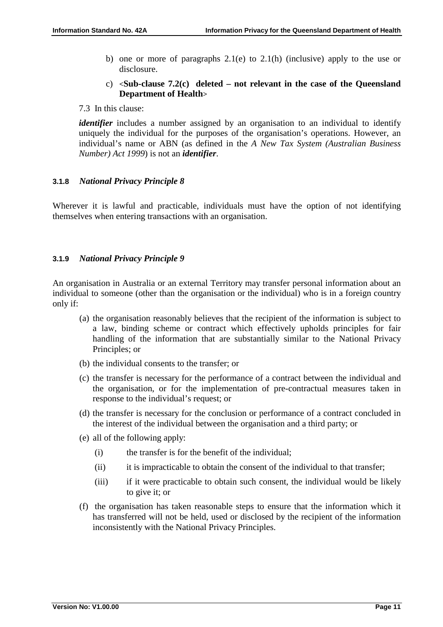- b) one or more of paragraphs  $2.1(e)$  to  $2.1(h)$  (inclusive) apply to the use or disclosure.
- c) **<Sub-clause 7.2(c) deleted not relevant in the case of the Queensland Department of Health>**
- 7.3 In this clause:

*identifier* includes a number assigned by an organisation to an individual to identify uniquely the individual for the purposes of the organisation's operations. However, an individual's name or ABN (as defined in the *A New Tax System (Australian Business Number) Act 1999*) is not an *identifier*.

### **3.1.8** *National Privacy Principle 8*

Wherever it is lawful and practicable, individuals must have the option of not identifying themselves when entering transactions with an organisation.

### **3.1.9** *National Privacy Principle 9*

An organisation in Australia or an external Territory may transfer personal information about an individual to someone (other than the organisation or the individual) who is in a foreign country only if:

- (a) the organisation reasonably believes that the recipient of the information is subject to a law, binding scheme or contract which effectively upholds principles for fair handling of the information that are substantially similar to the National Privacy Principles; or
- (b) the individual consents to the transfer; or
- (c) the transfer is necessary for the performance of a contract between the individual and the organisation, or for the implementation of pre-contractual measures taken in response to the individual's request; or
- (d) the transfer is necessary for the conclusion or performance of a contract concluded in the interest of the individual between the organisation and a third party; or
- (e) all of the following apply:
	- (i) the transfer is for the benefit of the individual;
	- (ii) it is impracticable to obtain the consent of the individual to that transfer;
	- (iii) if it were practicable to obtain such consent, the individual would be likely to give it; or
- (f) the organisation has taken reasonable steps to ensure that the information which it has transferred will not be held, used or disclosed by the recipient of the information inconsistently with the National Privacy Principles.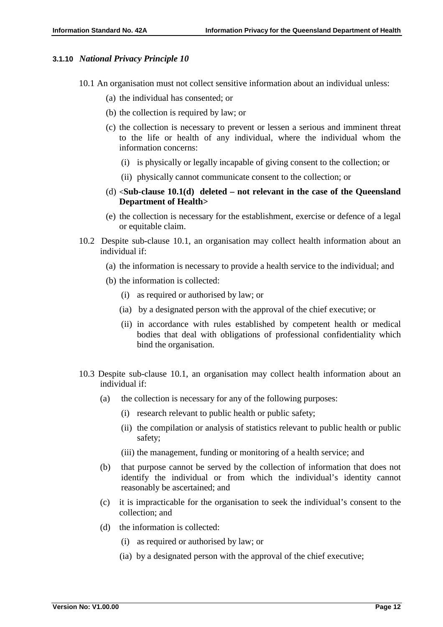#### **3.1.10** *National Privacy Principle 10*

- 10.1 An organisation must not collect sensitive information about an individual unless:
	- (a) the individual has consented; or
	- (b) the collection is required by law; or
	- (c) the collection is necessary to prevent or lessen a serious and imminent threat to the life or health of any individual, where the individual whom the information concerns:
		- (i) is physically or legally incapable of giving consent to the collection; or
		- (ii) physically cannot communicate consent to the collection; or
	- (d) **<Sub-clause 10.1(d) deleted not relevant in the case of the Queensland Department of Health>**
	- (e) the collection is necessary for the establishment, exercise or defence of a legal or equitable claim.
- 10.2 Despite sub-clause 10.1, an organisation may collect health information about an individual if:
	- (a) the information is necessary to provide a health service to the individual; and
	- (b) the information is collected:
		- (i) as required or authorised by law; or
		- (ia) by a designated person with the approval of the chief executive; or
		- (ii) in accordance with rules established by competent health or medical bodies that deal with obligations of professional confidentiality which bind the organisation.
- 10.3 Despite sub-clause 10.1, an organisation may collect health information about an individual if:
	- (a) the collection is necessary for any of the following purposes:
		- (i) research relevant to public health or public safety;
		- (ii) the compilation or analysis of statistics relevant to public health or public safety;
		- (iii) the management, funding or monitoring of a health service; and
	- (b) that purpose cannot be served by the collection of information that does not identify the individual or from which the individual's identity cannot reasonably be ascertained; and
	- (c) it is impracticable for the organisation to seek the individual's consent to the collection; and
	- (d) the information is collected:
		- (i) as required or authorised by law; or
		- (ia) by a designated person with the approval of the chief executive;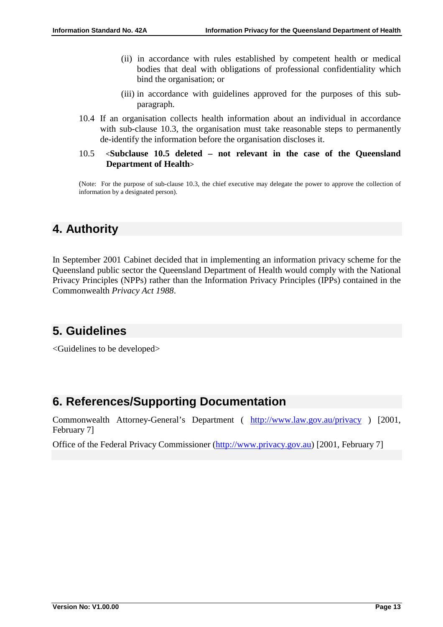- (ii) in accordance with rules established by competent health or medical bodies that deal with obligations of professional confidentiality which bind the organisation; or
- (iii) in accordance with guidelines approved for the purposes of this subparagraph.
- 10.4 If an organisation collects health information about an individual in accordance with sub-clause 10.3, the organisation must take reasonable steps to permanently de-identify the information before the organisation discloses it.

#### 10.5 **<Subclause 10.5 deleted – not relevant in the case of the Queensland Department of Health>**

(Note: For the purpose of sub-clause 10.3, the chief executive may delegate the power to approve the collection of information by a designated person).

# **4. Authority**

In September 2001 Cabinet decided that in implementing an information privacy scheme for the Queensland public sector the Queensland Department of Health would comply with the National Privacy Principles (NPPs) rather than the Information Privacy Principles (IPPs) contained in the Commonwealth *Privacy Act 1988*.

# **5. Guidelines**

<Guidelines to be developed>

# **6. References/Supporting Documentation**

Commonwealth Attorney-General's Department ( http://www.law.gov.au/privacy ) [2001, February 7]

Office of the Federal Privacy Commissioner (http://www.privacy.gov.au) [2001, February 7]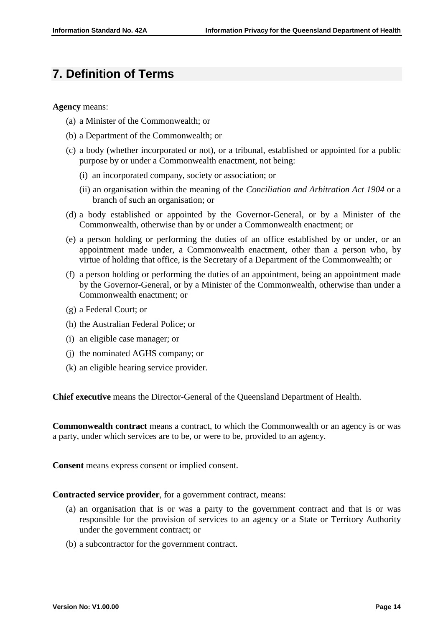# **7. Definition of Terms**

**Agency** means:

- (a) a Minister of the Commonwealth; or
- (b) a Department of the Commonwealth; or
- (c) a body (whether incorporated or not), or a tribunal, established or appointed for a public purpose by or under a Commonwealth enactment, not being:
	- (i) an incorporated company, society or association; or
	- (ii) an organisation within the meaning of the *Conciliation and Arbitration Act 1904* or a branch of such an organisation; or
- (d) a body established or appointed by the Governor-General, or by a Minister of the Commonwealth, otherwise than by or under a Commonwealth enactment; or
- (e) a person holding or performing the duties of an office established by or under, or an appointment made under, a Commonwealth enactment, other than a person who, by virtue of holding that office, is the Secretary of a Department of the Commonwealth; or
- (f) a person holding or performing the duties of an appointment, being an appointment made by the Governor-General, or by a Minister of the Commonwealth, otherwise than under a Commonwealth enactment; or
- (g) a Federal Court; or
- (h) the Australian Federal Police; or
- (i) an eligible case manager; or
- (j) the nominated AGHS company; or
- (k) an eligible hearing service provider.

**Chief executive** means the Director-General of the Queensland Department of Health.

**Commonwealth contract** means a contract, to which the Commonwealth or an agency is or was a party, under which services are to be, or were to be, provided to an agency.

**Consent** means express consent or implied consent.

**Contracted service provider**, for a government contract, means:

- (a) an organisation that is or was a party to the government contract and that is or was responsible for the provision of services to an agency or a State or Territory Authority under the government contract; or
- (b) a subcontractor for the government contract.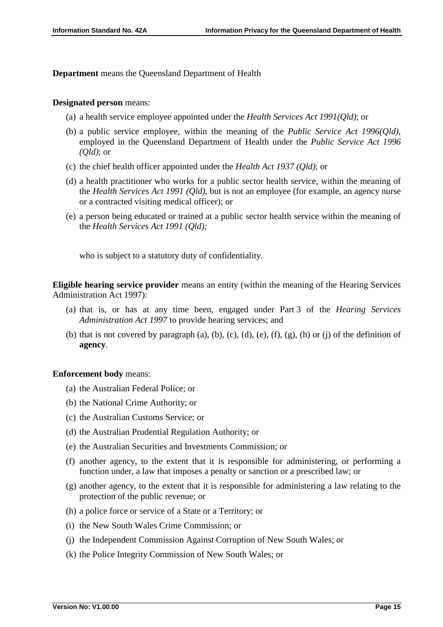**Department** means the Queensland Department of Health

#### **Designated person** means:

- (a) a health service employee appointed under the *Health Services Act 1991(Qld)*; or
- (b) a public service employee, within the meaning of the *Public Service Act 1996(Qld)*, employed in the Queensland Department of Health under the *Public Service Act 1996 (Qld)*; or
- (c) the chief health officer appointed under the *Health Act 1937 (Qld)*; or
- (d) a health practitioner who works for a public sector health service, within the meaning of the *Health Services Act 1991 (Qld)*, but is not an employee (for example, an agency nurse or a contracted visiting medical officer); or
- (e) a person being educated or trained at a public sector health service within the meaning of the *Health Services Act 1991 (Qld);*

who is subject to a statutory duty of confidentiality.

**Eligible hearing service provider** means an entity (within the meaning of the Hearing Services Administration Act 1997):

- (a) that is, or has at any time been, engaged under Part 3 of the *Hearing Services Administration Act 1997* to provide hearing services; and
- (b) that is not covered by paragraph (a), (b), (c), (d), (e), (f), (g), (h) or (j) of the definition of **agency**.

#### **Enforcement body** means:

- (a) the Australian Federal Police; or
- (b) the National Crime Authority; or
- (c) the Australian Customs Service; or
- (d) the Australian Prudential Regulation Authority; or
- (e) the Australian Securities and Investments Commission; or
- (f) another agency, to the extent that it is responsible for administering, or performing a function under, a law that imposes a penalty or sanction or a prescribed law; or
- (g) another agency, to the extent that it is responsible for administering a law relating to the protection of the public revenue; or
- (h) a police force or service of a State or a Territory; or
- (i) the New South Wales Crime Commission; or
- (j) the Independent Commission Against Corruption of New South Wales; or
- (k) the Police Integrity Commission of New South Wales; or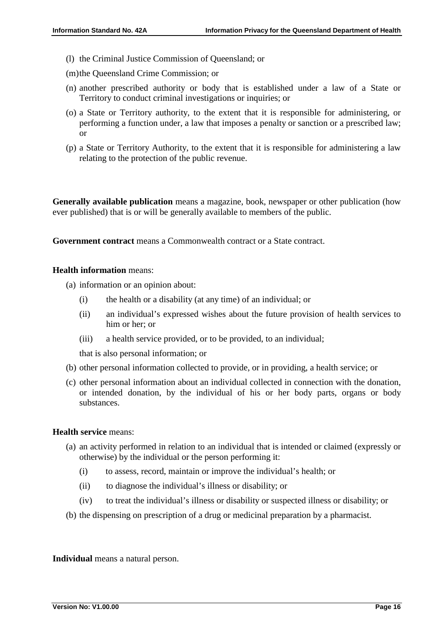- (l) the Criminal Justice Commission of Queensland; or
- (m) the Queensland Crime Commission; or
- (n) another prescribed authority or body that is established under a law of a State or Territory to conduct criminal investigations or inquiries; or
- (o) a State or Territory authority, to the extent that it is responsible for administering, or performing a function under, a law that imposes a penalty or sanction or a prescribed law; or
- (p) a State or Territory Authority, to the extent that it is responsible for administering a law relating to the protection of the public revenue.

**Generally available publication** means a magazine, book, newspaper or other publication (how ever published) that is or will be generally available to members of the public.

**Government contract** means a Commonwealth contract or a State contract.

#### **Health information** means:

- (a) information or an opinion about:
	- (i) the health or a disability (at any time) of an individual; or
	- (ii) an individual's expressed wishes about the future provision of health services to him or her; or
	- (iii) a health service provided, or to be provided, to an individual;

that is also personal information; or

- (b) other personal information collected to provide, or in providing, a health service; or
- (c) other personal information about an individual collected in connection with the donation, or intended donation, by the individual of his or her body parts, organs or body substances.

#### **Health service** means:

- (a) an activity performed in relation to an individual that is intended or claimed (expressly or otherwise) by the individual or the person performing it:
	- (i) to assess, record, maintain or improve the individual's health; or
	- (ii) to diagnose the individual's illness or disability; or
	- (iv) to treat the individual's illness or disability or suspected illness or disability; or
- (b) the dispensing on prescription of a drug or medicinal preparation by a pharmacist.

**Individual** means a natural person.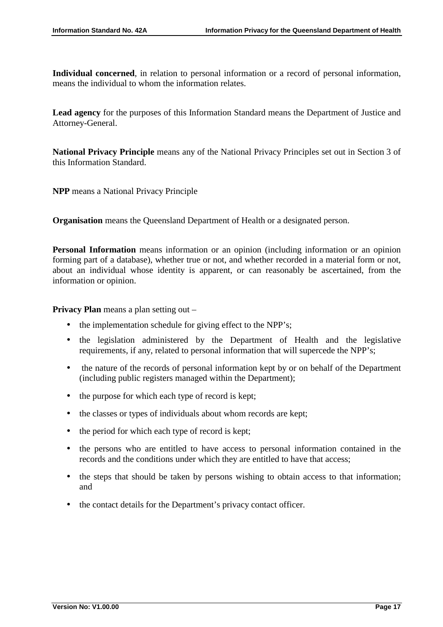**Individual concerned**, in relation to personal information or a record of personal information, means the individual to whom the information relates.

**Lead agency** for the purposes of this Information Standard means the Department of Justice and Attorney-General.

**National Privacy Principle** means any of the National Privacy Principles set out in Section 3 of this Information Standard.

**NPP** means a National Privacy Principle

**Organisation** means the Queensland Department of Health or a designated person.

**Personal Information** means information or an opinion (including information or an opinion forming part of a database), whether true or not, and whether recorded in a material form or not, about an individual whose identity is apparent, or can reasonably be ascertained, from the information or opinion.

**Privacy Plan** means a plan setting out –

- the implementation schedule for giving effect to the NPP's;
- the legislation administered by the Department of Health and the legislative requirements, if any, related to personal information that will supercede the NPP's;
- the nature of the records of personal information kept by or on behalf of the Department (including public registers managed within the Department);
- the purpose for which each type of record is kept;
- the classes or types of individuals about whom records are kept;
- the period for which each type of record is kept;
- the persons who are entitled to have access to personal information contained in the records and the conditions under which they are entitled to have that access;
- the steps that should be taken by persons wishing to obtain access to that information; and
- the contact details for the Department's privacy contact officer.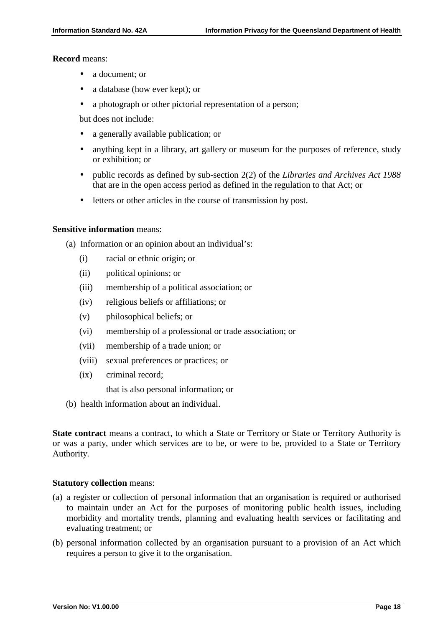#### **Record** means:

- a document: or
- a database (how ever kept); or
- a photograph or other pictorial representation of a person;

but does not include:

- a generally available publication; or
- anything kept in a library, art gallery or museum for the purposes of reference, study or exhibition; or
- public records as defined by sub-section 2(2) of the *Libraries and Archives Act 1988* that are in the open access period as defined in the regulation to that Act; or
- letters or other articles in the course of transmission by post.

#### **Sensitive information** means:

(a) Information or an opinion about an individual's:

- (i) racial or ethnic origin; or
- (ii) political opinions; or
- (iii) membership of a political association; or
- (iv) religious beliefs or affiliations; or
- (v) philosophical beliefs; or
- (vi) membership of a professional or trade association; or
- (vii) membership of a trade union; or
- (viii) sexual preferences or practices; or
- (ix) criminal record;

that is also personal information; or

(b) health information about an individual.

**State contract** means a contract, to which a State or Territory or State or Territory Authority is or was a party, under which services are to be, or were to be, provided to a State or Territory Authority.

#### **Statutory collection** means:

- (a) a register or collection of personal information that an organisation is required or authorised to maintain under an Act for the purposes of monitoring public health issues, including morbidity and mortality trends, planning and evaluating health services or facilitating and evaluating treatment; or
- (b) personal information collected by an organisation pursuant to a provision of an Act which requires a person to give it to the organisation.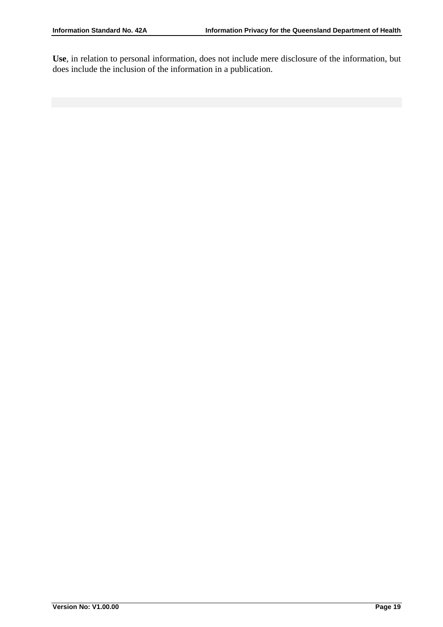**Use**, in relation to personal information, does not include mere disclosure of the information, but does include the inclusion of the information in a publication.